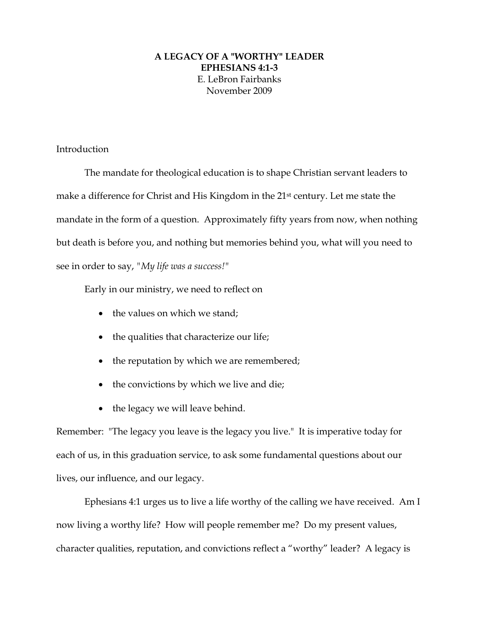## **A LEGACY OF A "WORTHY" LEADER EPHESIANS 4:1-3**  E. LeBron Fairbanks November 2009

## Introduction

The mandate for theological education is to shape Christian servant leaders to make a difference for Christ and His Kingdom in the 21st century. Let me state the mandate in the form of a question. Approximately fifty years from now, when nothing but death is before you, and nothing but memories behind you, what will you need to see in order to say, *"My life was a success!"* 

Early in our ministry, we need to reflect on

- $\bullet$  the values on which we stand;
- the qualities that characterize our life;
- the reputation by which we are remembered;
- the convictions by which we live and die;
- the legacy we will leave behind.

Remember: "The legacy you leave is the legacy you live." It is imperative today for each of us, in this graduation service, to ask some fundamental questions about our lives, our influence, and our legacy.

Ephesians 4:1 urges us to live a life worthy of the calling we have received. Am I now living a worthy life? How will people remember me? Do my present values, character qualities, reputation, and convictions reflect a "worthy" leader? A legacy is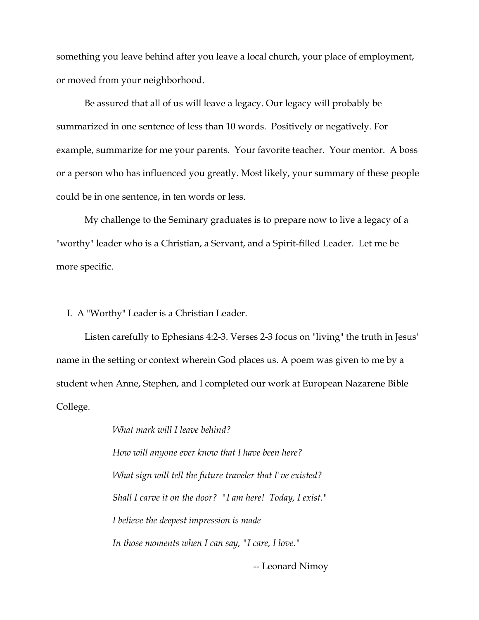something you leave behind after you leave a local church, your place of employment, or moved from your neighborhood.

Be assured that all of us will leave a legacy. Our legacy will probably be summarized in one sentence of less than 10 words. Positively or negatively. For example, summarize for me your parents. Your favorite teacher. Your mentor. A boss or a person who has influenced you greatly. Most likely, your summary of these people could be in one sentence, in ten words or less.

My challenge to the Seminary graduates is to prepare now to live a legacy of a "worthy" leader who is a Christian, a Servant, and a Spirit-filled Leader. Let me be more specific.

I. A "Worthy" Leader is a Christian Leader.

 Listen carefully to Ephesians 4:2-3. Verses 2-3 focus on "living" the truth in Jesus' name in the setting or context wherein God places us. A poem was given to me by a student when Anne, Stephen, and I completed our work at European Nazarene Bible College.

> *What mark will I leave behind? How will anyone ever know that I have been here? What sign will tell the future traveler that I've existed? Shall I carve it on the door? "I am here! Today, I exist." I believe the deepest impression is made In those moments when I can say, "I care, I love."*

> > -- Leonard Nimoy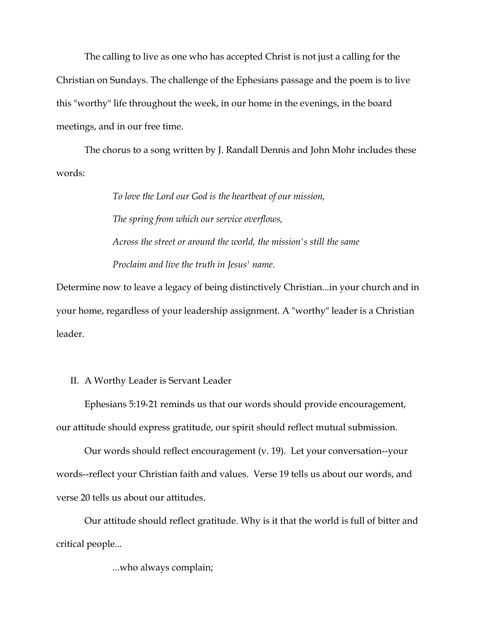The calling to live as one who has accepted Christ is not just a calling for the Christian on Sundays. The challenge of the Ephesians passage and the poem is to live this "worthy" life throughout the week, in our home in the evenings, in the board meetings, and in our free time.

The chorus to a song written by J. Randall Dennis and John Mohr includes these words:

> *To love the Lord our God is the heartbeat of our mission, The spring from which our service overflows, Across the street or around the world, the mission's still the same Proclaim and live the truth in Jesus' name.*

Determine now to leave a legacy of being distinctively Christian...in your church and in your home, regardless of your leadership assignment. A "worthy" leader is a Christian leader.

## II. A Worthy Leader is Servant Leader

Ephesians 5:19-21 reminds us that our words should provide encouragement, our attitude should express gratitude, our spirit should reflect mutual submission.

Our words should reflect encouragement (v. 19). Let your conversation--your words--reflect your Christian faith and values. Verse 19 tells us about our words, and verse 20 tells us about our attitudes.

Our attitude should reflect gratitude. Why is it that the world is full of bitter and critical people...

...who always complain;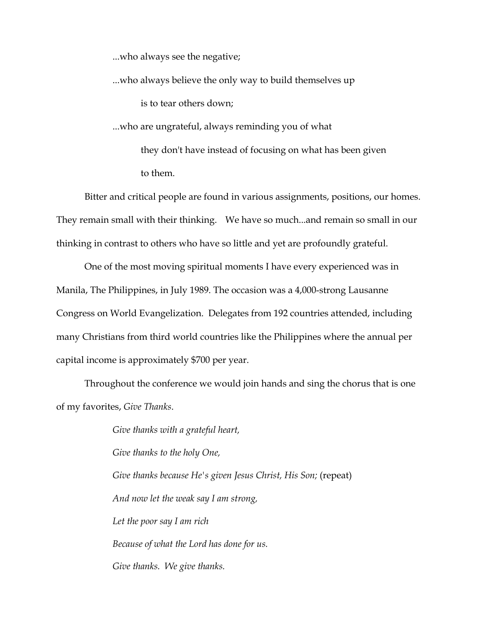...who always see the negative;

 ...who always believe the only way to build themselves up is to tear others down; ...who are ungrateful, always reminding you of what they don't have instead of focusing on what has been given to them.

Bitter and critical people are found in various assignments, positions, our homes. They remain small with their thinking. We have so much...and remain so small in our thinking in contrast to others who have so little and yet are profoundly grateful.

One of the most moving spiritual moments I have every experienced was in Manila, The Philippines, in July 1989. The occasion was a 4,000-strong Lausanne Congress on World Evangelization. Delegates from 192 countries attended, including many Christians from third world countries like the Philippines where the annual per capital income is approximately \$700 per year.

Throughout the conference we would join hands and sing the chorus that is one of my favorites, *Give Thanks*.

> *Give thanks with a grateful heart, Give thanks to the holy One, Give thanks because He's given Jesus Christ, His Son;* (repeat) *And now let the weak say I am strong, Let the poor say I am rich Because of what the Lord has done for us. Give thanks. We give thanks.*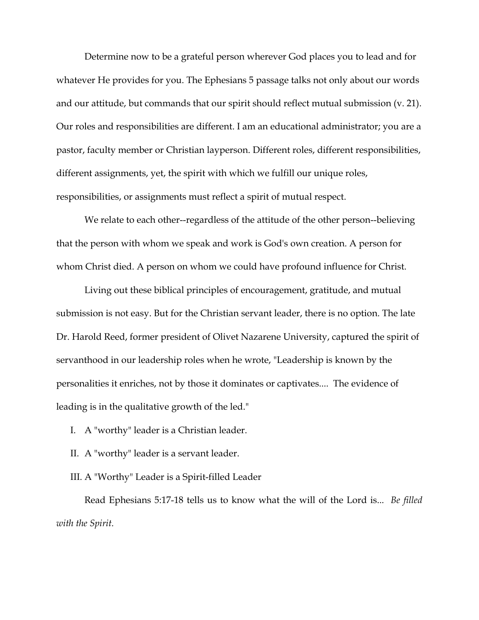Determine now to be a grateful person wherever God places you to lead and for whatever He provides for you. The Ephesians 5 passage talks not only about our words and our attitude, but commands that our spirit should reflect mutual submission (v. 21). Our roles and responsibilities are different. I am an educational administrator; you are a pastor, faculty member or Christian layperson. Different roles, different responsibilities, different assignments, yet, the spirit with which we fulfill our unique roles, responsibilities, or assignments must reflect a spirit of mutual respect.

We relate to each other--regardless of the attitude of the other person--believing that the person with whom we speak and work is God's own creation. A person for whom Christ died. A person on whom we could have profound influence for Christ.

Living out these biblical principles of encouragement, gratitude, and mutual submission is not easy. But for the Christian servant leader, there is no option. The late Dr. Harold Reed, former president of Olivet Nazarene University, captured the spirit of servanthood in our leadership roles when he wrote, "Leadership is known by the personalities it enriches, not by those it dominates or captivates.... The evidence of leading is in the qualitative growth of the led."

- I. A "worthy" leader is a Christian leader.
- II. A "worthy" leader is a servant leader.
- III. A "Worthy" Leader is a Spirit-filled Leader

Read Ephesians 5:17-18 tells us to know what the will of the Lord is... *Be filled with the Spirit.*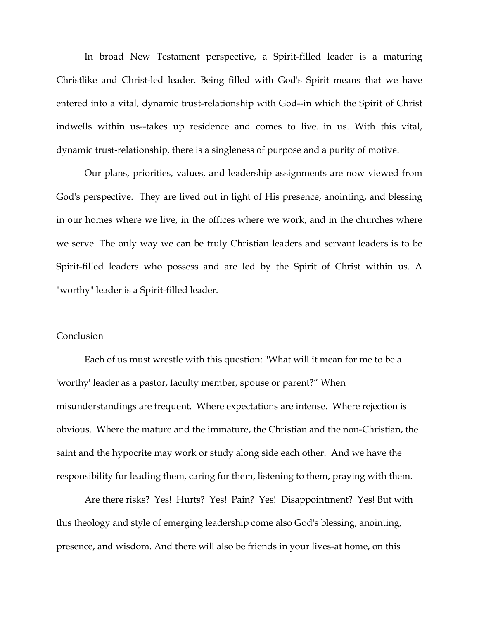In broad New Testament perspective, a Spirit-filled leader is a maturing Christlike and Christ-led leader. Being filled with God's Spirit means that we have entered into a vital, dynamic trust-relationship with God--in which the Spirit of Christ indwells within us--takes up residence and comes to live...in us. With this vital, dynamic trust-relationship, there is a singleness of purpose and a purity of motive.

Our plans, priorities, values, and leadership assignments are now viewed from God's perspective. They are lived out in light of His presence, anointing, and blessing in our homes where we live, in the offices where we work, and in the churches where we serve. The only way we can be truly Christian leaders and servant leaders is to be Spirit-filled leaders who possess and are led by the Spirit of Christ within us. A "worthy" leader is a Spirit-filled leader.

## **Conclusion**

Each of us must wrestle with this question: "What will it mean for me to be a 'worthy' leader as a pastor, faculty member, spouse or parent?" When misunderstandings are frequent. Where expectations are intense. Where rejection is obvious. Where the mature and the immature, the Christian and the non-Christian, the saint and the hypocrite may work or study along side each other. And we have the responsibility for leading them, caring for them, listening to them, praying with them.

Are there risks? Yes! Hurts? Yes! Pain? Yes! Disappointment? Yes! But with this theology and style of emerging leadership come also God's blessing, anointing, presence, and wisdom. And there will also be friends in your lives-at home, on this